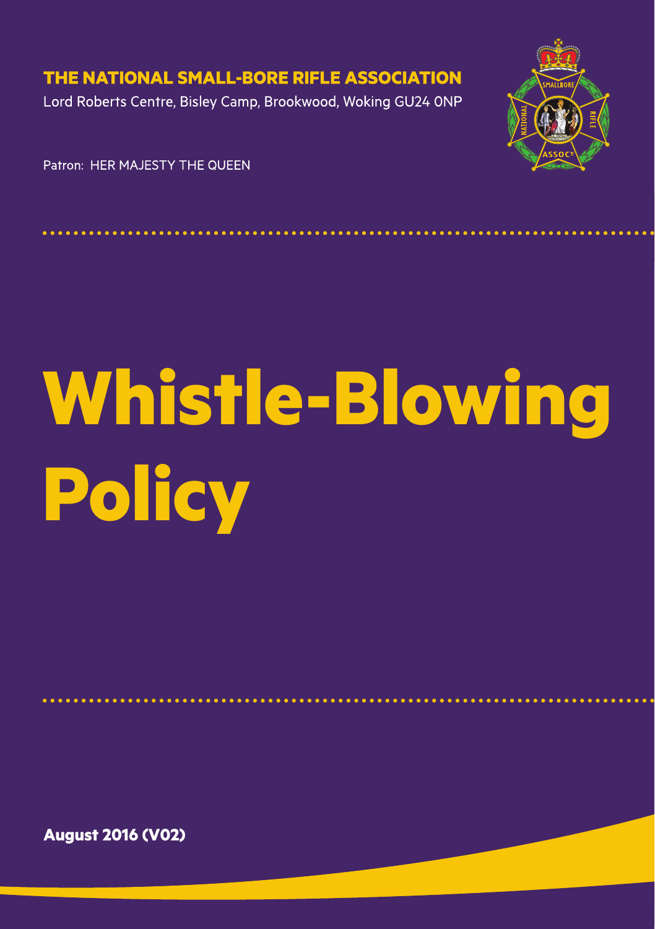THE NATIONAL SMALL-BORE RIFLE ASSOCIATION

Lord Roberts Centre, Bisley Camp, Brookwood, Woking GU24 ONP



Patron: HER MA JESTY THE OUFEN

# **Whistle-Blowing Policy**

**August 2016 (V02)**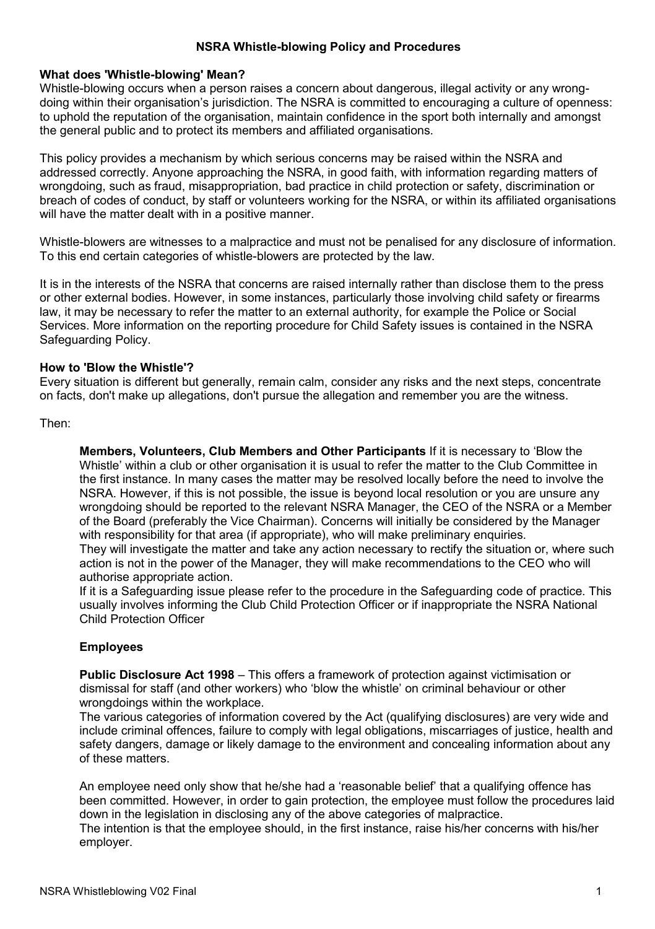## **NSRA Whistle-blowing Policy and Procedures**

#### **What does 'Whistle-blowing' Mean?**

Whistle-blowing occurs when a person raises a concern about dangerous, illegal activity or any wrongdoing within their organisation's jurisdiction. The NSRA is committed to encouraging a culture of openness: to uphold the reputation of the organisation, maintain confidence in the sport both internally and amongst the general public and to protect its members and affiliated organisations.

This policy provides a mechanism by which serious concerns may be raised within the NSRA and addressed correctly. Anyone approaching the NSRA, in good faith, with information regarding matters of wrongdoing, such as fraud, misappropriation, bad practice in child protection or safety, discrimination or breach of codes of conduct, by staff or volunteers working for the NSRA, or within its affiliated organisations will have the matter dealt with in a positive manner.

Whistle-blowers are witnesses to a malpractice and must not be penalised for any disclosure of information. To this end certain categories of whistle-blowers are protected by the law.

It is in the interests of the NSRA that concerns are raised internally rather than disclose them to the press or other external bodies. However, in some instances, particularly those involving child safety or firearms law, it may be necessary to refer the matter to an external authority, for example the Police or Social Services. More information on the reporting procedure for Child Safety issues is contained in the NSRA Safeguarding Policy.

### **How to 'Blow the Whistle'?**

Every situation is different but generally, remain calm, consider any risks and the next steps, concentrate on facts, don't make up allegations, don't pursue the allegation and remember you are the witness.

#### Then:

**Members, Volunteers, Club Members and Other Participants** If it is necessary to 'Blow the Whistle' within a club or other organisation it is usual to refer the matter to the Club Committee in the first instance. In many cases the matter may be resolved locally before the need to involve the NSRA. However, if this is not possible, the issue is beyond local resolution or you are unsure any wrongdoing should be reported to the relevant NSRA Manager, the CEO of the NSRA or a Member of the Board (preferably the Vice Chairman). Concerns will initially be considered by the Manager with responsibility for that area (if appropriate), who will make preliminary enquiries.

They will investigate the matter and take any action necessary to rectify the situation or, where such action is not in the power of the Manager, they will make recommendations to the CEO who will authorise appropriate action.

If it is a Safeguarding issue please refer to the procedure in the Safeguarding code of practice. This usually involves informing the Club Child Protection Officer or if inappropriate the NSRA National Child Protection Officer

# **Employees**

**Public Disclosure Act 1998** – This offers a framework of protection against victimisation or dismissal for staff (and other workers) who 'blow the whistle' on criminal behaviour or other wrongdoings within the workplace.

The various categories of information covered by the Act (qualifying disclosures) are very wide and include criminal offences, failure to comply with legal obligations, miscarriages of justice, health and safety dangers, damage or likely damage to the environment and concealing information about any of these matters.

An employee need only show that he/she had a 'reasonable belief' that a qualifying offence has been committed. However, in order to gain protection, the employee must follow the procedures laid down in the legislation in disclosing any of the above categories of malpractice.

The intention is that the employee should, in the first instance, raise his/her concerns with his/her employer.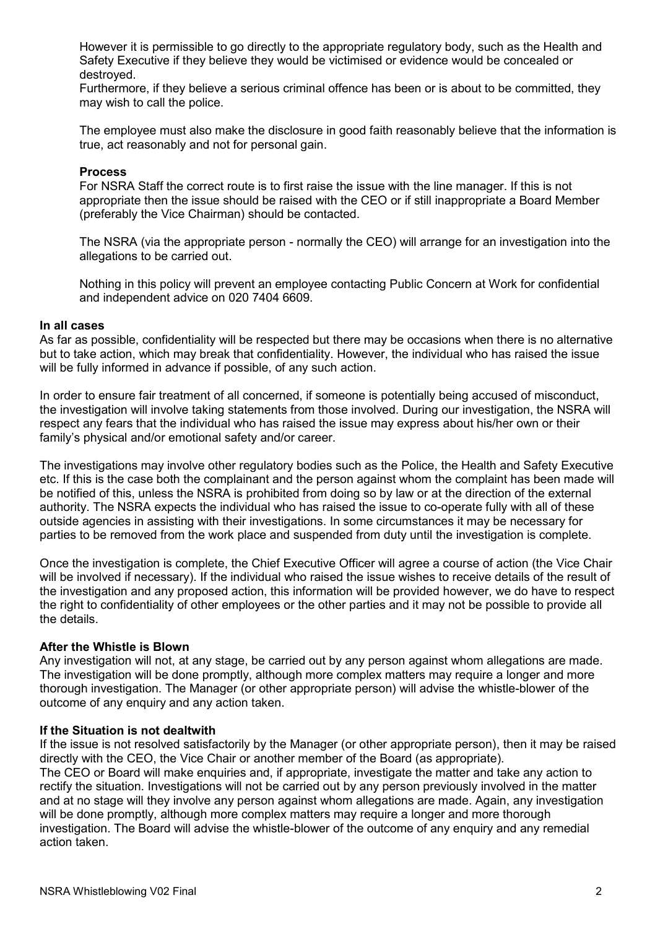However it is permissible to go directly to the appropriate regulatory body, such as the Health and Safety Executive if they believe they would be victimised or evidence would be concealed or destroyed.

Furthermore, if they believe a serious criminal offence has been or is about to be committed, they may wish to call the police.

The employee must also make the disclosure in good faith reasonably believe that the information is true, act reasonably and not for personal gain.

## **Process**

For NSRA Staff the correct route is to first raise the issue with the line manager. If this is not appropriate then the issue should be raised with the CEO or if still inappropriate a Board Member (preferably the Vice Chairman) should be contacted.

The NSRA (via the appropriate person - normally the CEO) will arrange for an investigation into the allegations to be carried out.

Nothing in this policy will prevent an employee contacting Public Concern at Work for confidential and independent advice on 020 7404 6609.

#### **In all cases**

As far as possible, confidentiality will be respected but there may be occasions when there is no alternative but to take action, which may break that confidentiality. However, the individual who has raised the issue will be fully informed in advance if possible, of any such action.

In order to ensure fair treatment of all concerned, if someone is potentially being accused of misconduct, the investigation will involve taking statements from those involved. During our investigation, the NSRA will respect any fears that the individual who has raised the issue may express about his/her own or their family's physical and/or emotional safety and/or career.

The investigations may involve other regulatory bodies such as the Police, the Health and Safety Executive etc. If this is the case both the complainant and the person against whom the complaint has been made will be notified of this, unless the NSRA is prohibited from doing so by law or at the direction of the external authority. The NSRA expects the individual who has raised the issue to co-operate fully with all of these outside agencies in assisting with their investigations. In some circumstances it may be necessary for parties to be removed from the work place and suspended from duty until the investigation is complete.

Once the investigation is complete, the Chief Executive Officer will agree a course of action (the Vice Chair will be involved if necessary). If the individual who raised the issue wishes to receive details of the result of the investigation and any proposed action, this information will be provided however, we do have to respect the right to confidentiality of other employees or the other parties and it may not be possible to provide all the details.

#### **After the Whistle is Blown**

Any investigation will not, at any stage, be carried out by any person against whom allegations are made. The investigation will be done promptly, although more complex matters may require a longer and more thorough investigation. The Manager (or other appropriate person) will advise the whistle-blower of the outcome of any enquiry and any action taken.

#### **If the Situation is not dealtwith**

If the issue is not resolved satisfactorily by the Manager (or other appropriate person), then it may be raised directly with the CEO, the Vice Chair or another member of the Board (as appropriate). The CEO or Board will make enquiries and, if appropriate, investigate the matter and take any action to rectify the situation. Investigations will not be carried out by any person previously involved in the matter and at no stage will they involve any person against whom allegations are made. Again, any investigation will be done promptly, although more complex matters may require a longer and more thorough investigation. The Board will advise the whistle-blower of the outcome of any enquiry and any remedial action taken.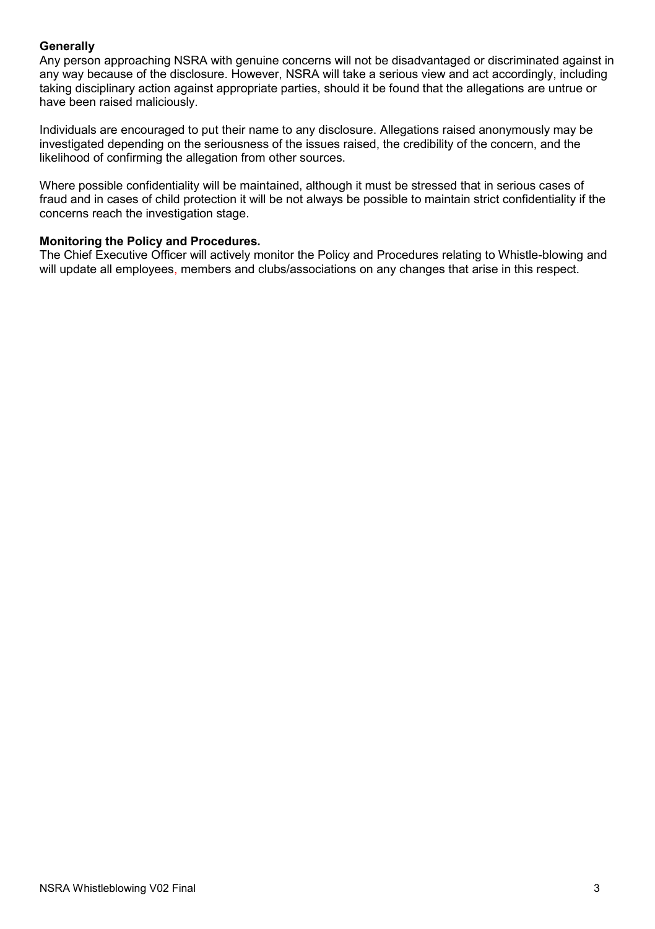# **Generally**

Any person approaching NSRA with genuine concerns will not be disadvantaged or discriminated against in any way because of the disclosure. However, NSRA will take a serious view and act accordingly, including taking disciplinary action against appropriate parties, should it be found that the allegations are untrue or have been raised maliciously.

Individuals are encouraged to put their name to any disclosure. Allegations raised anonymously may be investigated depending on the seriousness of the issues raised, the credibility of the concern, and the likelihood of confirming the allegation from other sources.

Where possible confidentiality will be maintained, although it must be stressed that in serious cases of fraud and in cases of child protection it will be not always be possible to maintain strict confidentiality if the concerns reach the investigation stage.

# **Monitoring the Policy and Procedures.**

The Chief Executive Officer will actively monitor the Policy and Procedures relating to Whistle-blowing and will update all employees, members and clubs/associations on any changes that arise in this respect.